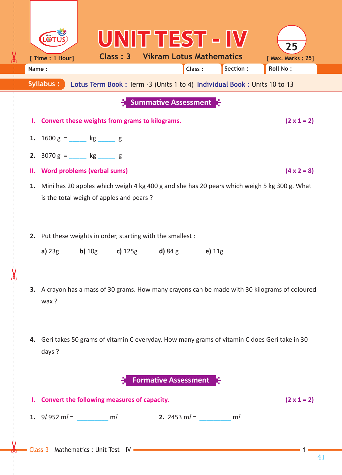|                                                                                      |                                                                                                                                        |                    |                                                |                                                                                   | UNIT TEST - IV                                                |                                                                                                |  |  |  |
|--------------------------------------------------------------------------------------|----------------------------------------------------------------------------------------------------------------------------------------|--------------------|------------------------------------------------|-----------------------------------------------------------------------------------|---------------------------------------------------------------|------------------------------------------------------------------------------------------------|--|--|--|
|                                                                                      | [ Time : 1 Hour]                                                                                                                       |                    | Class: 3                                       |                                                                                   | <b>Vikram Lotus Mathematics</b>                               | 25<br>[ Max. Marks: 25]                                                                        |  |  |  |
| Name:                                                                                |                                                                                                                                        |                    |                                                | Class:                                                                            | Section :                                                     | <b>Roll No:</b>                                                                                |  |  |  |
| Syllabus:<br>Lotus Term Book: Term -3 (Units 1 to 4) Individual Book: Units 10 to 13 |                                                                                                                                        |                    |                                                |                                                                                   |                                                               |                                                                                                |  |  |  |
| <b>Summative Assessment</b>                                                          |                                                                                                                                        |                    |                                                |                                                                                   |                                                               |                                                                                                |  |  |  |
| ъ.                                                                                   |                                                                                                                                        |                    | Convert these weights from grams to kilograms. |                                                                                   |                                                               | $(2 \times 1 = 2)$                                                                             |  |  |  |
| 1.                                                                                   | $1600 g =$ kg s g                                                                                                                      |                    |                                                |                                                                                   |                                                               |                                                                                                |  |  |  |
| 2.                                                                                   | $3070 g =$ kg g                                                                                                                        |                    |                                                |                                                                                   |                                                               |                                                                                                |  |  |  |
| н.                                                                                   | <b>Word problems (verbal sums)</b>                                                                                                     | $(4 \times 2 = 8)$ |                                                |                                                                                   |                                                               |                                                                                                |  |  |  |
| 1.                                                                                   | Mini has 20 apples which weigh 4 kg 400 g and she has 20 pears which weigh 5 kg 300 g. What<br>is the total weigh of apples and pears? |                    |                                                |                                                                                   |                                                               |                                                                                                |  |  |  |
| 2.                                                                                   | Put these weights in order, starting with the smallest :                                                                               |                    |                                                |                                                                                   |                                                               |                                                                                                |  |  |  |
|                                                                                      |                                                                                                                                        |                    |                                                | <b>a)</b> $23g$ <b>b)</b> $10g$ <b>c)</b> $125g$ <b>d)</b> $84g$                  | e) $11g$                                                      |                                                                                                |  |  |  |
|                                                                                      | wax ?                                                                                                                                  |                    |                                                |                                                                                   |                                                               | 3. A crayon has a mass of 30 grams. How many crayons can be made with 30 kilograms of coloured |  |  |  |
| 4.                                                                                   | days ?                                                                                                                                 |                    |                                                |                                                                                   |                                                               | Geri takes 50 grams of vitamin C everyday. How many grams of vitamin C does Geri take in 30    |  |  |  |
| <b>Formative Assessment</b> 5                                                        |                                                                                                                                        |                    |                                                |                                                                                   |                                                               |                                                                                                |  |  |  |
| L.                                                                                   |                                                                                                                                        |                    | Convert the following measures of capacity.    |                                                                                   |                                                               | $(2 \times 1 = 2)$                                                                             |  |  |  |
|                                                                                      |                                                                                                                                        |                    |                                                |                                                                                   | <b>1.</b> $9l$ $952$ $ml =$ $ml$ <b>2.</b> $2453$ $ml =$ $ml$ |                                                                                                |  |  |  |
|                                                                                      |                                                                                                                                        |                    |                                                | - Class-3 - Mathematics : Unit Test - IV - Class-3 - Mathematics : Unit Test - IV |                                                               |                                                                                                |  |  |  |

------ - - --------------------------------------- --- -------------------------------------------------- -------------

 $\mathbf{L}$ 

41